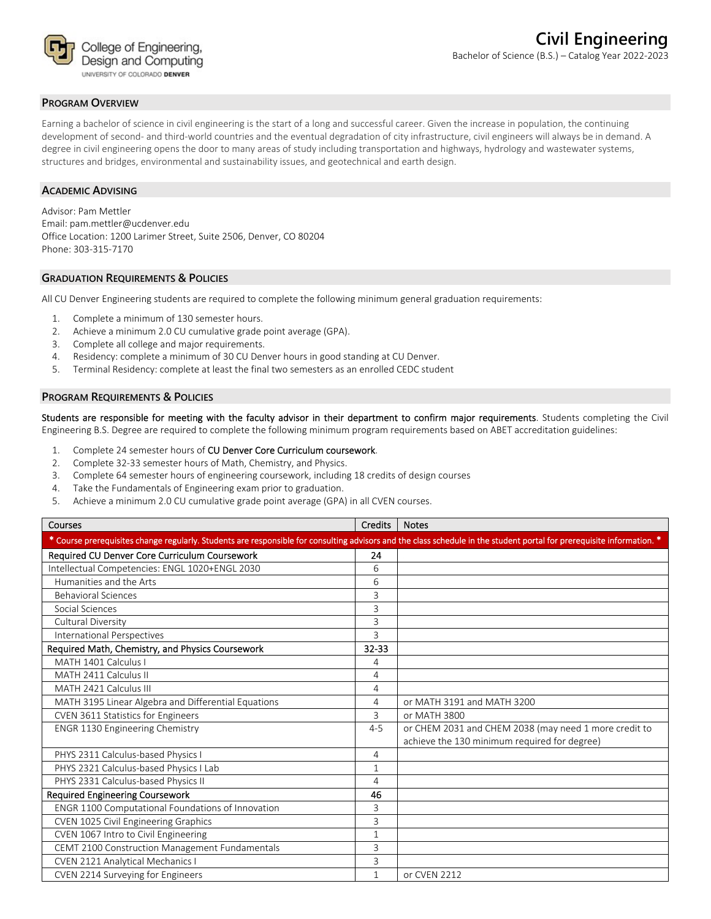

### **PROGRAM OVERVIEW**

Earning a bachelor of science in civil engineering is the start of a long and successful career. Given the increase in population, the continuing development of second- and third-world countries and the eventual degradation of city infrastructure, civil engineers will always be in demand. A degree in civil engineering opens the door to many areas of study including transportation and highways, hydrology and wastewater systems, structures and bridges, environmental and sustainability issues, and geotechnical and earth design.

#### **ACADEMIC ADVISING**

Advisor: Pam Mettler Email: pam.mettler@ucdenver.edu Office Location: 1200 Larimer Street, Suite 2506, Denver, CO 80204 Phone: 303‐315‐7170

#### **GRADUATION REQUIREMENTS & POLICIES**

All CU Denver Engineering students are required to complete the following minimum general graduation requirements:

- 1. Complete a minimum of 130 semester hours.
- 2. Achieve a minimum 2.0 CU cumulative grade point average (GPA).
- 3. Complete all college and major requirements.
- 4. Residency: complete a minimum of 30 CU Denver hours in good standing at CU Denver.
- 5. Terminal Residency: complete at least the final two semesters as an enrolled CEDC student

#### **PROGRAM REQUIREMENTS & POLICIES**

Students are responsible for meeting with the faculty advisor in their department to confirm major requirements. Students completing the Civil Engineering B.S. Degree are required to complete the following minimum program requirements based on ABET accreditation guidelines:

- 1. Complete 24 semester hours of CU Denver Core Curriculum coursework.
- 2. Complete 32‐33 semester hours of Math, Chemistry, and Physics.
- 3. Complete 64 semester hours of engineering coursework, including 18 credits of design courses
- 4. Take the Fundamentals of Engineering exam prior to graduation.
- 5. Achieve a minimum 2.0 CU cumulative grade point average (GPA) in all CVEN courses.

| Courses                                                                                                                                                                | <b>Credits</b> | <b>Notes</b>                                          |
|------------------------------------------------------------------------------------------------------------------------------------------------------------------------|----------------|-------------------------------------------------------|
| * Course prerequisites change regularly. Students are responsible for consulting advisors and the class schedule in the student portal for prerequisite information. * |                |                                                       |
| Required CU Denver Core Curriculum Coursework                                                                                                                          | 24             |                                                       |
| Intellectual Competencies: ENGL 1020+ENGL 2030                                                                                                                         | 6              |                                                       |
| Humanities and the Arts                                                                                                                                                | 6              |                                                       |
| <b>Behavioral Sciences</b>                                                                                                                                             | 3              |                                                       |
| Social Sciences                                                                                                                                                        | 3              |                                                       |
| Cultural Diversity                                                                                                                                                     | 3              |                                                       |
| International Perspectives                                                                                                                                             | 3              |                                                       |
| Required Math, Chemistry, and Physics Coursework                                                                                                                       | 32-33          |                                                       |
| MATH 1401 Calculus I                                                                                                                                                   | 4              |                                                       |
| MATH 2411 Calculus II                                                                                                                                                  | 4              |                                                       |
| MATH 2421 Calculus III                                                                                                                                                 | 4              |                                                       |
| MATH 3195 Linear Algebra and Differential Equations                                                                                                                    | 4              | or MATH 3191 and MATH 3200                            |
| CVEN 3611 Statistics for Engineers                                                                                                                                     | 3              | or MATH 3800                                          |
| <b>ENGR 1130 Engineering Chemistry</b>                                                                                                                                 | $4 - 5$        | or CHEM 2031 and CHEM 2038 (may need 1 more credit to |
|                                                                                                                                                                        |                | achieve the 130 minimum required for degree)          |
| PHYS 2311 Calculus-based Physics I                                                                                                                                     | 4              |                                                       |
| PHYS 2321 Calculus-based Physics I Lab                                                                                                                                 | 1              |                                                       |
| PHYS 2331 Calculus-based Physics II                                                                                                                                    | 4              |                                                       |
| <b>Required Engineering Coursework</b>                                                                                                                                 | 46             |                                                       |
| ENGR 1100 Computational Foundations of Innovation                                                                                                                      | 3              |                                                       |
| CVEN 1025 Civil Engineering Graphics                                                                                                                                   | 3              |                                                       |
| CVEN 1067 Intro to Civil Engineering                                                                                                                                   | 1              |                                                       |
| CEMT 2100 Construction Management Fundamentals                                                                                                                         | 3              |                                                       |
| CVEN 2121 Analytical Mechanics I                                                                                                                                       | 3              |                                                       |
| CVEN 2214 Surveying for Engineers                                                                                                                                      | 1              | or CVEN 2212                                          |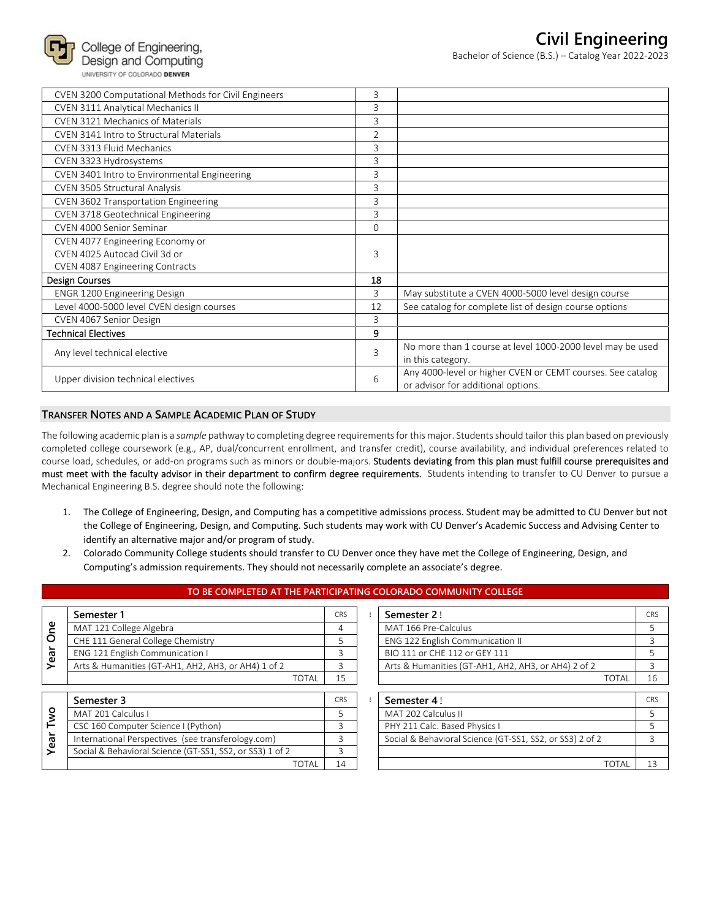

| CVEN 3200 Computational Methods for Civil Engineers | 3              |                                                            |
|-----------------------------------------------------|----------------|------------------------------------------------------------|
| CVEN 3111 Analytical Mechanics II                   | 3              |                                                            |
| <b>CVEN 3121 Mechanics of Materials</b>             | 3              |                                                            |
| CVEN 3141 Intro to Structural Materials             | $\overline{2}$ |                                                            |
| <b>CVEN 3313 Fluid Mechanics</b>                    | 3              |                                                            |
| CVEN 3323 Hydrosystems                              | 3              |                                                            |
| CVEN 3401 Intro to Environmental Engineering        | 3              |                                                            |
| CVEN 3505 Structural Analysis                       | 3              |                                                            |
| CVEN 3602 Transportation Engineering                | 3              |                                                            |
| CVEN 3718 Geotechnical Engineering                  | 3              |                                                            |
| CVEN 4000 Senior Seminar                            | $\Omega$       |                                                            |
| CVEN 4077 Engineering Economy or                    |                |                                                            |
| CVEN 4025 Autocad Civil 3d or                       | 3              |                                                            |
| CVEN 4087 Engineering Contracts                     |                |                                                            |
| Design Courses                                      | 18             |                                                            |
| <b>ENGR 1200 Engineering Design</b>                 | 3              | May substitute a CVEN 4000-5000 level design course        |
| Level 4000-5000 level CVEN design courses           | 12             | See catalog for complete list of design course options     |
| CVEN 4067 Senior Design                             | 3              |                                                            |
| <b>Technical Electives</b>                          | 9              |                                                            |
| Any level technical elective                        |                | No more than 1 course at level 1000-2000 level may be used |
|                                                     | 3              | in this category.                                          |
| Upper division technical electives                  | 6              | Any 4000-level or higher CVEN or CEMT courses. See catalog |
|                                                     |                | or advisor for additional options.                         |

## **TRANSFER NOTES AND A SAMPLE ACADEMIC PLAN OF STUDY**

The following academic plan is a *sample* pathway to completing degree requirements for this major. Students should tailor this plan based on previously completed college coursework (e.g., AP, dual/concurrent enrollment, and transfer credit), course availability, and individual preferences related to course load, schedules, or add-on programs such as minors or double-majors. Students deviating from this plan must fulfill course prerequisites and must meet with the faculty advisor in their department to confirm degree requirements. Students intending to transfer to CU Denver to pursue a Mechanical Engineering B.S. degree should note the following:

- 1. The College of Engineering, Design, and Computing has a competitive admissions process. Student may be admitted to CU Denver but not the College of Engineering, Design, and Computing. Such students may work with CU Denver's Academic Success and Advising Center to identify an alternative major and/or program of study.
- 2. Colorado Community College students should transfer to CU Denver once they have met the College of Engineering, Design, and Computing's admission requirements. They should not necessarily complete an associate's degree.

**TO BE COMPLETED AT THE PARTICIPATING COLORADO COMMUNITY COLLEGE**

|            | Semester 1                                               | <b>CRS</b> | Semester 2!                                              | CRS |
|------------|----------------------------------------------------------|------------|----------------------------------------------------------|-----|
| <b>One</b> | MAT 121 College Algebra                                  | 4          | MAT 166 Pre-Calculus                                     | 5   |
|            | CHE 111 General College Chemistry                        | 5          | ENG 122 English Communication II                         | 3   |
| Year       | ENG 121 English Communication I                          | 3          | BIO 111 or CHE 112 or GEY 111                            |     |
|            | Arts & Humanities (GT-AH1, AH2, AH3, or AH4) 1 of 2      | Β          | Arts & Humanities (GT-AH1, AH2, AH3, or AH4) 2 of 2      | 3   |
|            | <b>TOTAL</b>                                             | 15         | TOTAL                                                    | 16  |
|            |                                                          |            |                                                          |     |
|            | Semester 3                                               | CRS        | Semester 4!                                              | CRS |
| Two        | MAT 201 Calculus I                                       | 5          | MAT 202 Calculus II                                      |     |
|            | CSC 160 Computer Science I (Python)                      | 3          | PHY 211 Calc. Based Physics I                            |     |
| Year       | International Perspectives (see transferology.com)       | 3          | Social & Behavioral Science (GT-SS1, SS2, or SS3) 2 of 2 | 3   |
|            | Social & Behavioral Science (GT-SS1, SS2, or SS3) 1 of 2 | 3          |                                                          |     |
|            | <b>TOTAL</b>                                             | 14         | TOTAL                                                    | 13  |

|       | <b>CRS</b> | Semester 2!                                         |       |  |
|-------|------------|-----------------------------------------------------|-------|--|
|       |            | MAT 166 Pre-Calculus                                |       |  |
|       |            | ENG 122 English Communication II                    |       |  |
|       |            | BIO 111 or CHE 112 or GEY 111                       |       |  |
|       |            | Arts & Humanities (GT-AH1, AH2, AH3, or AH4) 2 of 2 |       |  |
| TOTAL |            |                                                     | ΤΩΤΑΙ |  |

| Semester 3                                               | <b>CRS</b> | Semester 4!                                              | CR <sup>s</sup> |
|----------------------------------------------------------|------------|----------------------------------------------------------|-----------------|
| MAT 201 Calculus I                                       |            | MAT 202 Calculus II                                      |                 |
| CSC 160 Computer Science I (Python)                      |            | PHY 211 Calc. Based Physics I                            |                 |
| International Perspectives (see transferology.com)       |            | Social & Behavioral Science (GT-SS1, SS2, or SS3) 2 of 2 |                 |
| Social & Behavioral Science (GT-SS1, SS2, or SS3) 1 of 2 |            |                                                          |                 |
| TOTAL                                                    | 14         | TOTA                                                     |                 |